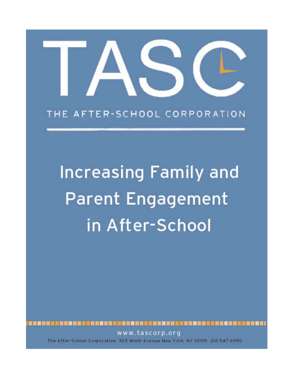# THE AFTER-SCHOOL CORPORATION

# **Increasing Family and Parent Engagement** in After-School

8日 自然数百日制国王制度 

www.tascorp.org The After-School Corporation 925 Ninth Avenue New York, NY 10019 212-547-6950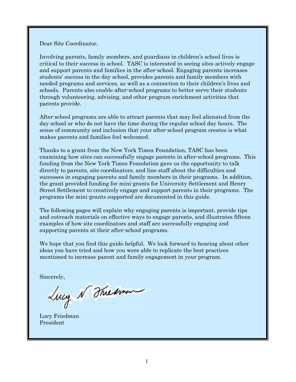Dear Site Coordinator,

Involving parents, family members, and guardians in children's school lives is critical to their success in school. TASC is interested in seeing sites actively engage and support parents and families in the after-school. Engaging parents increases students' success in the day school, provides parents and family members with needed programs and services, as well as a connection to their children's lives and schools. Parents also enable after-school programs to better serve their students through volunteering, advising, and other program enrichment activities that parents provide.

After-school programs are able to attract parents that may feel alienated from the day school or who do not have the time during the regular school day hours. The sense of community and inclusion that your after-school program creates is what makes parents and families feel welcomed.

Thanks to a grant from the New York Times Foundation, TASC has been examining how sites can successfully engage parents in after-school programs. This funding from the New York Times Foundation gave us the opportunity to talk directly to parents, site coordinators, and line staff about the difficulties and successes in engaging parents and family members in their programs. In addition, the grant provided funding for mini-grants for University Settlement and Henry Street Settlement to creatively engage and support parents in their programs. The programs the mini-grants supported are documented in this guide.

The following pages will explain why engaging parents is important, provide tips and outreach materials on effective ways to engage parents, and illustrates fifteen examples of how site coordinators and staff are successfully engaging and supporting parents at their after-school programs.

We hope that you find this guide helpful. We look forward to hearing about other ideas you have tried and how you were able to replicate the best practices mentioned to increase parent and family engagement in your program.

Sincerely,<br>Lucy N. The imen

Lucy Friedman President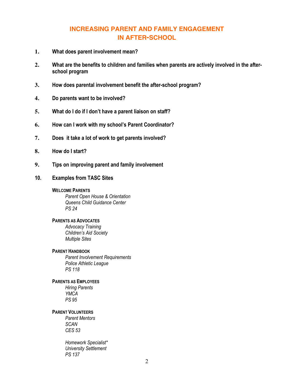# **INCREASING PARENT AND FAMILY ENGAGEMENT IN AFTER-SCHOOL**

- **1. What does parent involvement mean?**
- **2. What are the benefits to children and families when parents are actively involved in the afterschool program**
- **3. How does parental involvement benefit the after-school program?**
- **4. Do parents want to be involved?**
- **5. What do I do if I don't have a parent liaison on staff?**
- **6. How can I work with my school's Parent Coordinator?**
- **7. Does it take a lot of work to get parents involved?**
- **8. How do I start?**
- **9. Tips on improving parent and family involvement**
- **10. Examples from TASC Sites**

#### **WELCOME PARENTS**

*Parent Open House & Orientation Queens Child Guidance Center PS 24* 

#### **PARENTS AS ADVOCATES**

*Advocacy Training Children's Aid Society Multiple Sites* 

#### **PARENT HANDBOOK**

 *Parent Involvement Requirements Police Athletic League PS 118* 

#### **PARENTS AS EMPLOYEES**

*Hiring Parents YMCA PS 95* 

**PARENT VOLUNTEERS**

*Parent Mentors SCAN CES 53* 

 *Homework Specialist\* University Settlement PS 137*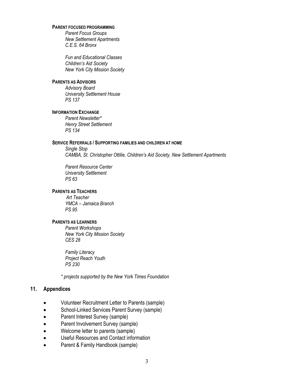#### **PARENT FOCUSED PROGRAMMING**

*Parent Focus Groups New Settlement Apartments C.E.S. 64 Bronx* 

 *Fun and Educational Classes Children's Aid Society New York City Mission Society* 

#### **PARENTS AS ADVISORS**

*Advisory Board University Settlement House PS 137* 

#### **INFORMATION EXCHANGE**

*Parent Newsletter\* Henry Street Settlement PS 134* 

#### **SERVICE REFERRALS / SUPPORTING FAMILIES AND CHILDREN AT HOME**

*Single Stop CAMBA, St. Christopher Ottilie, Children's Aid Society, New Settlement Apartments* 

 *Parent Resource Center University Settlement PS 63* 

#### **PARENTS AS TEACHERS**

*Art Teacher YMCA – Jamaica Branch PS 95* 

#### **PARENTS AS LEARNERS**

*Parent Workshops New York City Mission Society CES 28* 

 *Family Literacy Project Reach Youth PS 230* 

*\* projects supported by the New York Times Foundation* 

#### **11. Appendices**

- Volunteer Recruitment Letter to Parents (sample)
- School-Linked Services Parent Survey (sample)
- Parent Interest Survey (sample)
- Parent Involvement Survey (sample)
- Welcome letter to parents (sample)
- Useful Resources and Contact information
- Parent & Family Handbook (sample)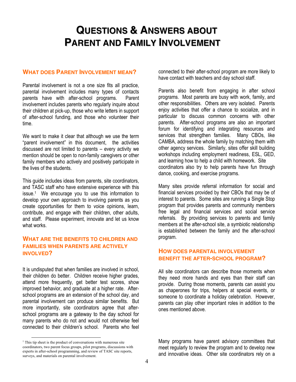# **QUESTIONS & ANSWERS ABOUT PARENT AND FAMILY INVOLVEMENT**

#### **WHAT DOES PARENT INVOLVEMENT MEAN?**

Parental involvement is not a one size fits all practice, parental involvement includes many types of contacts parents have with after-school programs. Parent involvement includes parents who regularly inquire about their children at pick-up, those who write letters in support of after-school funding, and those who volunteer their time.

We want to make it clear that although we use the term "parent involvement" in this document, the activities discussed are not limited to parents – every activity we mention should be open to non-family caregivers or other family members who actively and positively participate in the lives of the students.

This guide includes ideas from parents, site coordinators, and TASC staff who have extensive experience with this issue.1 We encourage you to use this information to develop your own approach to involving parents as you create opportunities for them to voice opinions, learn, contribute, and engage with their children, other adults, and staff. Please experiment, innovate and let us know what works.

#### **WHAT ARE THE BENEFITS TO CHILDREN AND FAMILIES WHEN PARENTS ARE ACTIVELY INVOLVED?**

It is undisputed that when families are involved in school, their children do better. Children receive higher grades, attend more frequently, get better test scores, show improved behavior, and graduate at a higher rate. Afterschool programs are an extension of the school day, and parental involvement can produce similar benefits. But more importantly, site coordinators agree that afterschool programs are a gateway to the day school for many parents who do not and would not otherwise feel connected to their children's school. Parents who feel connected to their after-school program are more likely to have contact with teachers and day school staff.

Parents also benefit from engaging in after school programs. Most parents are busy with work, family, and other responsibilities. Others are very isolated. Parents enjoy activities that offer a chance to socialize, and in particular to discuss common concerns with other parents. After-school programs are also an important forum for identifying and integrating resources and services that strengthen families. Many CBOs, like CAMBA, address the whole family by matching them with other agency services. Similarly, sites offer skill building workshops including employment readiness, ESL, GED, and learning how to help a child with homework. Site coordinators also try to help parents have fun through dance, cooking, and exercise programs.

Many sites provide referral information for social and financial services provided by their CBOs that may be of interest to parents. Some sites are running a Single Stop program that provides parents and community members free legal and financial services and social service referrals. By providing services to parents and family members at the after-school site, a symbiotic relationship is established between the family and the after-school program.

#### **HOW DOES PARENTAL INVOLVEMENT BENEFIT THE AFTER-SCHOOL PROGRAM?**

All site coordinators can describe those moments when they need more hands and eyes than their staff can provide. During those moments, parents can assist you as chaperones for trips, helpers at special events, or someone to coordinate a holiday celebration. However, parents can play other important roles in addition to the ones mentioned above.

Many programs have parent advisory committees that meet regularly to review the program and to develop new and innovative ideas. Other site coordinators rely on a

<sup>&</sup>lt;sup>1</sup> This tip sheet is the product of conversations with numerous site coordinators, two parent focus groups, pilot programs, discussions with experts in after-school programming, and review of TASC site reports, surveys, and materials on parental involvement.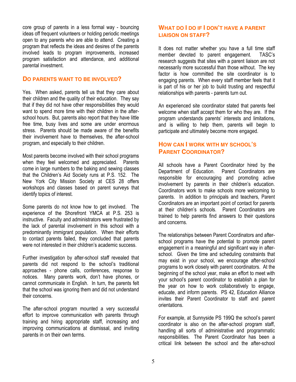core group of parents in a less formal way - bouncing ideas off frequent volunteers or holding periodic meetings open to any parents who are able to attend. Creating a program that reflects the ideas and desires of the parents involved leads to program improvements, increased program satisfaction and attendance, and additional parental investment.

#### **DO PARENTS WANT TO BE INVOLVED?**

Yes. When asked, parents tell us that they care about their children and the quality of their education. They say that if they did not have other responsibilities they would want to spend more time with their children in the afterschool hours. But, parents also report that they have little free time, busy lives and some are under enormous stress. Parents should be made aware of the benefits their involvement have to themselves, the after-school program, and especially to their children.

Most parents become involved with their school programs when they feel welcomed and appreciated. Parents come in large numbers to the baking and sewing classes that the Children's Aid Society runs at P.S. 152. The New York City Mission Society at CES 28 offers workshops and classes based on parent surveys that identify topics of interest.

Some parents do not know how to get involved. The experience of the Shorefront YMCA at P.S. 253 is instructive. Faculty and administrators were frustrated by the lack of parental involvement in this school with a predominantly immigrant population. When their efforts to contact parents failed, they concluded that parents were not interested in their children's academic success.

Further investigation by after-school staff revealed that parents did not respond to the school's traditional approaches - phone calls, conferences, response to notices. Many parents work, don't have phones, or cannot communicate in English. In turn, the parents felt that the school was ignoring them and did not understand their concerns.

The after-school program mounted a very successful effort to improve communication with parents through training and hiring appropriate staff, increasing and improving communications at dismissal, and inviting parents in on their own terms.

#### **WHAT DO I DO IF I DON'T HAVE A PARENT LIAISON ON STAFF?**

It does not matter whether you have a full time staff member devoted to parent engagement. TASC's research suggests that sites with a parent liaison are not necessarily more successful than those without. The key factor is how committed the site coordinator is to engaging parents. When every staff member feels that it is part of his or her job to build trusting and respectful relationships with parents - parents turn out.

An experienced site coordinator stated that parents feel welcome when staff accept them for who they are. If the program understands parents' interests and limitations, and is willing to help them, parents will begin to participate and ultimately become more engaged.

#### **HOW CAN I WORK WITH MY SCHOOL'S PARENT COORDINATOR?**

All schools have a Parent Coordinator hired by the Department of Education. Parent Coordinators are responsible for encouraging and promoting active involvement by parents in their children's education. Coordinators work to make schools more welcoming to parents. In addition to principals and teachers, Parent Coordinators are an important point of contact for parents at their children's schools. Parent Coordinators are trained to help parents find answers to their questions and concerns.

The relationships between Parent Coordinators and afterschool programs have the potential to promote parent engagement in a meaningful and significant way in afterschool. Given the time and scheduling constraints that may exist in your school, we encourage after-school programs to work closely with parent coordinators. At the beginning of the school year, make an effort to meet with your school's parent coordinator to establish a plan for the year on how to work collaboratively to engage, educate, and inform parents. PS 42, Education Alliance invites their Parent Coordinator to staff and parent orientations.

For example, at Sunnyside PS 199Q the school's parent coordinator is also on the after-school program staff, handling all sorts of administrative and programmatic responsibilities. The Parent Coordinator has been a critical link between the school and the after-school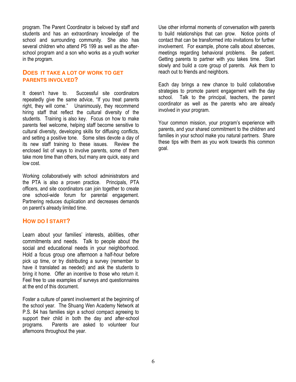program. The Parent Coordinator is beloved by staff and students and has an extraordinary knowledge of the school and surrounding community. She also has several children who attend PS 199 as well as the afterschool program and a son who works as a youth worker in the program.

#### **DOES IT TAKE A LOT OF WORK TO GET PARENTS INVOLVED?**

It doesn't have to. Successful site coordinators repeatedly give the same advice, "If you treat parents right, they will come." Unanimously, they recommend hiring staff that reflect the cultural diversity of the students. Training is also key. Focus on how to make parents feel welcome, helping staff become sensitive to cultural diversity, developing skills for diffusing conflicts, and setting a positive tone. Some sites devote a day of its new staff training to these issues. Review the enclosed list of ways to involve parents, some of them take more time than others, but many are quick, easy and low cost.

Working collaboratively with school administrators and the PTA is also a proven practice. Principals, PTA officers, and site coordinators can join together to create one school-wide forum for parental engagement. Partnering reduces duplication and decreases demands on parent's already limited time.

#### **HOW DO I START?**

Learn about your families' interests, abilities, other commitments and needs. Talk to people about the social and educational needs in your neighborhood. Hold a focus group one afternoon a half-hour before pick up time, or try distributing a survey (remember to have it translated as needed) and ask the students to bring it home. Offer an incentive to those who return it. Feel free to use examples of surveys and questionnaires at the end of this document.

Foster a culture of parent involvement at the beginning of the school year. The Shuang Wen Academy Network at P.S. 84 has families sign a school compact agreeing to support their child in both the day and after-school programs. Parents are asked to volunteer four afternoons throughout the year.

Use other informal moments of conversation with parents to build relationships that can grow. Notice points of contact that can be transformed into invitations for further involvement. For example, phone calls about absences, meetings regarding behavioral problems. Be patient. Getting parents to partner with you takes time. Start slowly and build a core group of parents. Ask them to reach out to friends and neighbors.

Each day brings a new chance to build collaborative strategies to promote parent engagement with the day school. Talk to the principal, teachers, the parent coordinator as well as the parents who are already involved in your program.

Your common mission, your program's experience with parents, and your shared commitment to the children and families in your school make you natural partners. Share these tips with them as you work towards this common goal.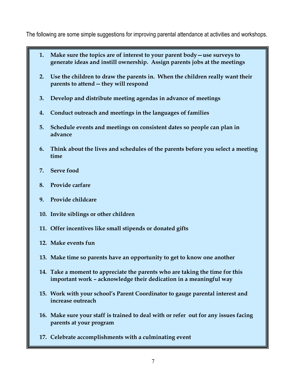The following are some simple suggestions for improving parental attendance at activities and workshops.

- **1.** Make sure the topics are of interest to your parent body use surveys to **generate ideas and instill ownership. Assign parents jobs at the meetings**
- **2. Use the children to draw the parents in. When the children really want their parents to attend -- they will respond**
- **3. Develop and distribute meeting agendas in advance of meetings**
- **4. Conduct outreach and meetings in the languages of families**
- **5. Schedule events and meetings on consistent dates so people can plan in advance**
- **6. Think about the lives and schedules of the parents before you select a meeting time**
- **7. Serve food**
- **8. Provide carfare**
- **9. Provide childcare**
- **10. Invite siblings or other children**
- **11. Offer incentives like small stipends or donated gifts**
- **12. Make events fun**
- **13. Make time so parents have an opportunity to get to know one another**
- **14. Take a moment to appreciate the parents who are taking the time for this**  important work - acknowledge their dedication in a meaningful way
- **15. Work with your school's Parent Coordinator to gauge parental interest and increase outreach**
- **16. Make sure your staff is trained to deal with or refer out for any issues facing parents at your program**
- **17. Celebrate accomplishments with a culminating event**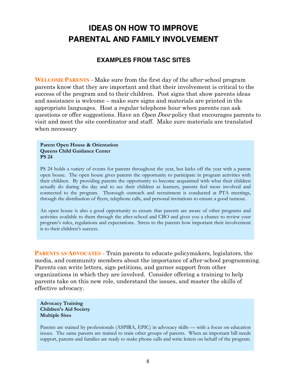# **IDEAS ON HOW TO IMPROVE PARENTAL AND FAMILY INVOLVEMENT**

#### **EXAMPLES FROM TASC SITES**

**WELCOME PARENTS** – Make sure from the first day of the after-school program parents know that they are important and that their involvement is critical to the success of the program and to their children. Post signs that show parents ideas and assistance is welcome  $-$  make sure signs and materials are printed in the appropriate languages. Host a regular telephone hour when parents can ask questions or offer suggestions. Have an *Open Door* policy that encourages parents to visit and meet the site coordinator and staff. Make sure materials are translated when necessary

#### **Parent Open House & Orientation Queens Child Guidance Center PS 24**

PS 24 holds a variety of events for parents throughout the year, but kicks off the year with a parent open house. The open house gives parents the opportunity to participate in program activities with their children. By providing parents the opportunity to become acquainted with what their children actually do during the day and to see their children as learners, parents feel more involved and connected to the program. Thorough outreach and recruitment is conducted at PTA meetings, through the distribution of flyers, telephone calls, and personal invitations to ensure a good turnout.

An open house is also a good opportunity to ensure that parents are aware of other programs and activities available to them through the after-school and CBO and gives you a chance to review your program's rules, regulations and expectations. Stress to the parents how important their involvement is to their children's success.

**PARENTS AS ADVOCATES** – Train parents to educate policymakers, legislators, the media, and community members about the importance of after-school programming. Parents can write letters, sign petitions, and garner support from other organizations in which they are involved. Consider offering a training to help parents take on this new role, understand the issues, and master the skills of effective advocacy.

**Advocacy Training Children?s Aid Society Multiple Sites** 

Parents are trained by professionals (ASPIRA, EPIC) in advocacy skills — with a focus on education issues. The same parents are trained to train other groups of parents. When an important bill needs support, parents and families are ready to make phone calls and write letters on behalf of the program.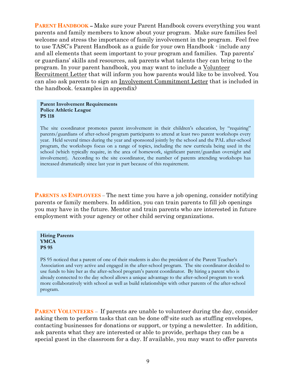**PARENT HANDBOOK –** Make sure your Parent Handbook covers everything you want parents and family members to know about your program. Make sure families feel welcome and stress the importance of family involvement in the program. Feel free to use TASC;s Parent Handbook as a guide for your own Handbook - include any and all elements that seem important to your program and families. Tap parents' or guardians' skills and resources, ask parents what talents they can bring to the program. In your parent handbook, you may want to include a Volunteer Recruitment Letter that will inform you how parents would like to be involved. You can also ask parents to sign an Involvement Commitment Letter that is included in the handbook. (examples in appendix)

#### **Parent Involvement Requirements Police Athletic League PS 118**

The site coordinator promotes parent involvement in their children's education, by "requiring" parents/guardians of after-school program participants to attend at least two parent workshops every year. Held several times during the year and sponsored jointly by the school and the PAL after-school program, the workshops focus on a range of topics, including the new curricula being used in the school (which typically require, in the area of homework, significant parent/guardian oversight and involvement). According to the site coordinator, the number of parents attending workshops has increased dramatically since last year in part because of this requirement.

**PARENTS AS EMPLOYEES** – The next time you have a job opening, consider notifying parents or family members. In addition, you can train parents to fill job openings you may have in the future. Mentor and train parents who are interested in future employment with your agency or other child serving organizations.

#### **Hiring Parents YMCA PS 95**

PS 95 noticed that a parent of one of their students is also the president of the Parent Teacher's Association and very active and engaged in the after-school program. The site coordinator decided to use funds to hire her as the after-school program's parent coordinator. By hiring a parent who is already connected to the day school allows a unique advantage to the after-school program to work more collaboratively with school as well as build relationships with other parents of the after-school program.

**PARENT VOLUNTEERS** – If parents are unable to volunteer during the day, consider asking them to perform tasks that can be done off-site such as stuffing envelopes, contacting businesses for donations or support, or typing a newsletter. In addition, ask parents what they are interested or able to provide, perhaps they can be a special guest in the classroom for a day. If available, you may want to offer parents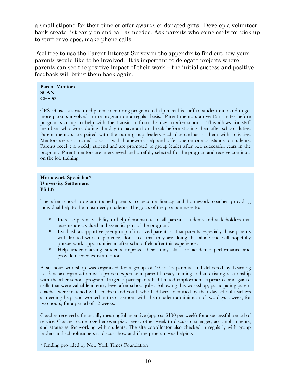a small stipend for their time or offer awards or donated gifts. Develop a volunteer bank-create list early on and call as needed. Ask parents who come early for pick up to stuff envelopes, make phone calls.

Feel free to use the **Parent Interest Survey** in the appendix to find out how your parents would like to be involved. It is important to delegate projects where parents can see the positive impact of their work  $-$  the initial success and positive feedback will bring them back again.

**Parent Mentors SCAN CES 53** 

CES 53 uses a structured parent mentoring program to help meet his staff-to-student ratio and to get more parents involved in the program on a regular basis. Parent mentors arrive 15 minutes before program start-up to help with the transition from the day to after-school. This allows for staff members who work during the day to have a short break before starting their after-school duties. Parent mentors are paired with the same group leaders each day and assist them with activities. Mentors are also trained to assist with homework help and offer one-on-one assistance to students. Parents receive a weekly stipend and are promoted to group leader after two successful years in the program. Parent mentors are interviewed and carefully selected for the program and receive continual on the job training.

**Homework Specialist\* University Settlement PS 137** 

The after-school program trained parents to become literacy and homework coaches providing individual help to the most needy students. The goals of the program were to:

- <sup>In</sup> Increase parent visibility to help demonstrate to all parents, students and stakeholders that parents are a valued and essential part of the program.
- à Establish a supportive peer group of involved parents so that parents, especially those parents with limited work experience, don't feel that they are doing this alone and will hopefully pursue work opportunities in after-school field after this experience.
- à Help underachieving students improve their study skills or academic performance and provide needed extra attention.

A six-hour workshop was organized for a group of 10 to 15 parents, and delivered by Learning Leaders, an organization with proven expertise in parent literacy training and an existing relationship with the after-school program. Targeted participants had limited employment experience and gained skills that were valuable in entry-level after-school jobs. Following this workshop, participating parent coaches were matched with children and youth who had been identified by their day school teachers as needing help, and worked in the classroom with their student a minimum of two days a week, for two hours, for a period of 12 weeks.

Coaches received a financially meaningful incentive (approx. \$100 per week) for a successful period of service. Coaches came together over pizza every other week to discuss challenges, accomplishments, and strategies for working with students. The site coordinator also checked in regularly with group leaders and schoolteachers to discuss how and if the program was helping.

\* funding provided by New York Times Foundation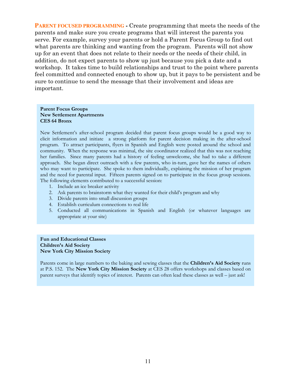**PARENT FOCUSED PROGRAMMING** - Create programming that meets the needs of the parents and make sure you create programs that will interest the parents you serve. For example, survey your parents or hold a Parent Focus Group to find out what parents are thinking and wanting from the program. Parents will not show up for an event that does not relate to their needs or the needs of their child, in addition, do not expect parents to show up just because you pick a date and a workshop. It takes time to build relationships and trust to the point where parents feel committed and connected enough to show up, but it pays to be persistent and be sure to continue to send the message that their involvement and ideas are important.

#### **Parent Focus Groups New Settlement Apartments CES 64 Bronx**

New Settlement's after-school program decided that parent focus groups would be a good way to elicit information and initiate a strong platform for parent decision making in the after-school program. To attract participants, flyers in Spanish and English were posted around the school and community. When the response was minimal, the site coordinator realized that this was not reaching her families. Since many parents had a history of feeling unwelcome, she had to take a different approach. She began direct outreach with a few parents, who in-turn, gave her the names of others who may want to participate. She spoke to them individually, explaining the mission of her program and the need for parental input. Fifteen parents signed on to participate in the focus group sessions. The following elements contributed to a successful session:

- 1. Include an ice breaker activity
- 2. Ask parents to brainstorm what they wanted for their child's program and why
- 3. Divide parents into small discussion groups
- 4. Establish curriculum connections to real life
- 5. Conducted all communications in Spanish and English (or whatever languages are appropriate at your site)

#### **Fun and Educational Classes Children?s Aid Society New York City Mission Society**

Parents come in large numbers to the baking and sewing classes that the **Children?s Aid Society** runs at P.S. 152. The **New York City Mission Society** at CES 28 offers workshops and classes based on parent surveys that identify topics of interest. Parents can often lead these classes as well – just ask!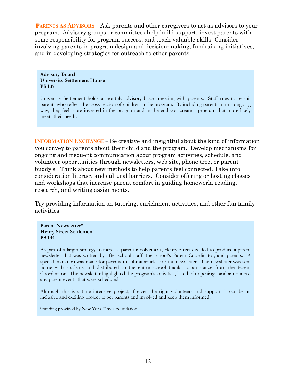**PARENTS AS ADVISORS** – Ask parents and other caregivers to act as advisors to your program. Advisory groups or committees help build support, invest parents with some responsibility for program success, and teach valuable skills. Consider involving parents in program design and decision-making, fundraising initiatives, and in developing strategies for outreach to other parents.

**Advisory Board University Settlement House PS 137** 

University Settlement holds a monthly advisory board meeting with parents. Staff tries to recruit parents who reflect the cross section of children in the program. By including parents in this ongoing way, they feel more invested in the program and in the end you create a program that more likely meets their needs.

**INFORMATION EXCHANGE** – Be creative and insightful about the kind of information you convey to parents about their child and the program. Develop mechanisms for ongoing and frequent communication about program activities, schedule, and volunteer opportunities through newsletters, web site, phone tree, or parent buddy;s. Think about new methods to help parents feel connected. Take into consideration literacy and cultural barriers. Consider offering or hosting classes and workshops that increase parent comfort in guiding homework, reading, research, and writing assignments.

Try providing information on tutoring, enrichment activities, and other fun family activities.

**Parent Newsletter\* Henry Street Settlement PS 134** 

As part of a larger strategy to increase parent involvement, Henry Street decided to produce a parent newsletter that was written by after-school staff, the school's Parent Coordinator, and parents. A special invitation was made for parents to submit articles for the newsletter. The newsletter was sent home with students and distributed to the entire school thanks to assistance from the Parent Coordinator. The newsletter highlighted the program's activities, listed job openings, and announced any parent events that were scheduled.

Although this is a time intensive project, if given the right volunteers and support, it can be an inclusive and exciting project to get parents and involved and keep them informed.

\*funding provided by New York Times Foundation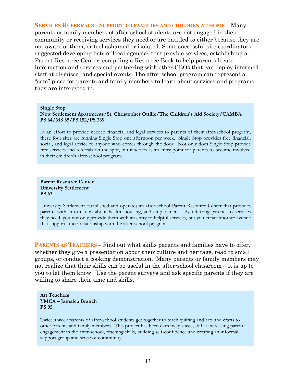#### **SERVICES REFERRALS - SUPPORT TO FAMILIES AND CHILDREN AT HOME - Many** parents or family members of after-school students are not engaged in their community or receiving services they need or are entitled to either because they are not aware of them, or feel ashamed or isolated. Some successful site coordinators suggested developing lists of local agencies that provide services, establishing a Parent Resource Center, compiling a Resource Book to help parents locate information and services and partnering with other CBOs that can deploy informed staff at dismissal and special events. The after-school program can represent a "safe" place for parents and family members to learn about services and programs they are interested in.

#### **Single Stop**

**New Settlement Apartments/St. Christopher Ottilie/The Children?s Aid Society/CAMBA PS 64/MS 35/PS 152/PS 269** 

In an effort to provide needed financial and legal services to parents of their after-school program, these four sites are running Single Stop one afternoon per week. Single Stop provides free financial, social, and legal advice to anyone who comes through the door. Not only does Single Stop provide free services and referrals on the spot, but it serves as an entry point for parents to become involved in their children's after-school program.

#### **Parent Resource Center University Settlement PS 63**

University Settlement established and operates an after-school Parent Resource Center that provides parents with information about health, housing, and employment. By referring parents to services they need, you not only provide them with an entry to helpful services, but you create another avenue that supports their relationship with the after-school program.

**PARENTS AS TEACHERS** – Find out what skills parents and families have to offer, whether they give a presentation about their culture and heritage, read to small groups, or conduct a cooking demonstration. Many parents or family members may not realize that their skills can be useful in the after-school classroom  $-$  it is up to you to let them know. Use the parent surveys and ask specific parents if they are willing to share their time and skills.

#### **Art Teachers YMCA - Jamaica Branch PS 95**

Twice a week parents of after-school students get together to teach quilting and arts and crafts to other parents and family members. This project has been extremely successful at increasing parental engagement in the after-school, teaching skills, building self-confidence and creating an informal support group and sense of community.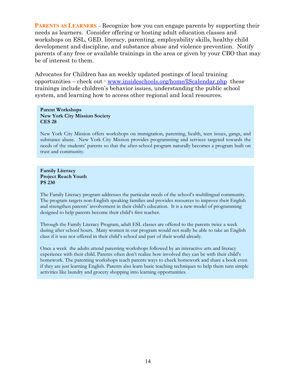**PARENTS AS LEARNERS** – Recognize how you can engage parents by supporting their needs as learners. Consider offering or hosting adult education classes and workshops on ESL, GED, literacy, parenting, employability skills, healthy child development and discipline, and substance abuse and violence prevention. Notify parents of any free or available trainings in the area or given by your CBO that may be of interest to them.

Advocates for Children has an weekly updated postings of local training opportunities - check out  $\cdot$  www.insideschools.org/home/IScalendar.php these trainings include children's behavior issues, understanding the public school system, and learning how to access other regional and local resources.

#### **Parent Workshops New York City Mission Society CES 28**

New York City Mission offers workshops on immigration, parenting, health, teen issues, gangs, and substance abuse. New York City Mission provides programming and services targeted towards the needs of the students' parents so that the after-school program naturally becomes a program built on trust and community.

#### **Family Literacy Project Reach Youth PS 230**

The Family Literacy program addresses the particular needs of the school's multilingual community. The program targets non-English speaking families and provides resources to improve their English and strengthen parents' involvement in their child's education. It is a new model of programming designed to help parents become their child's first teacher.

Through the Family Literacy Program, adult ESL classes are offered to the parents twice a week during after school hours. Many women in our program would not really be able to take an English class if it was not offered in their child's school and part of their world already.

Once a week the adults attend parenting workshops followed by an interactive arts and literacy experience with their child. Parents often don't realize how involved they can be with their child's homework. The parenting workshops teach parents ways to check homework and share a book even if they are just learning English. Parents also learn basic teaching techniques to help them turn simple activities like laundry and grocery shopping into learning opportunities.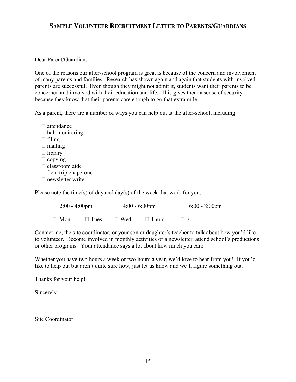#### **SAMPLE VOLUNTEER RECRUITMENT LETTER TO PARENTS/GUARDIANS**

#### Dear Parent/Guardian:

One of the reasons our after-school program is great is because of the concern and involvement of many parents and families. Research has shown again and again that students with involved parents are successful. Even though they might not admit it, students want their parents to be concerned and involved with their education and life. This gives them a sense of security because they know that their parents care enough to go that extra mile.

As a parent, there are a number of ways you can help out at the after-school, including:

- $\Box$  attendance  $\Box$  hall monitoring  $\Box$  filing  $\Box$  mailing □ library  $\Box$  copying □ classroom aide  $\Box$  field trip chaperone
- $\Box$  newsletter writer

Please note the time(s) of day and day(s) of the week that work for you.

| $\Box$ 2:00 - 4:00pm |             | $\Box$ 4:00 - 6:00pm |              | $\Box$ 6:00 - 8:00pm |
|----------------------|-------------|----------------------|--------------|----------------------|
| $\Box$ Mon           | $\Box$ Tues | $\Box$ Wed           | $\Box$ Thurs | $\Box$ Fri           |

Contact me, the site coordinator, or your son or daughter's teacher to talk about how you'd like to volunteer. Become involved in monthly activities or a newsletter, attend school's productions or other programs. Your attendance says a lot about how much you care.

Whether you have two hours a week or two hours a year, we'd love to hear from you! If you'd like to help out but aren't quite sure how, just let us know and we'll figure something out.

Thanks for your help!

Sincerely

Site Coordinator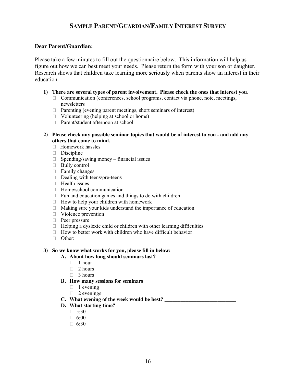### **SAMPLE PARENT/GUARDIAN/FAMILY INTEREST SURVEY**

#### **Dear Parent/Guardian:**

Please take a few minutes to fill out the questionnaire below. This information will help us figure out how we can best meet your needs. Please return the form with your son or daughter. Research shows that children take learning more seriously when parents show an interest in their education.

#### **1) There are several types of parent involvement. Please check the ones that interest you.**

- $\Box$  Communication (conferences, school programs, contact via phone, note, meetings, newsletters
- $\Box$  Parenting (evening parent meetings, short seminars of interest)
- $\Box$  Volunteering (helping at school or home)
- □ Parent/student afternoon at school
- **2) Please check any possible seminar topics that would be of interest to you and add any others that come to mind.** 
	- $\Box$  Homework hassles
	- ͛ Discipline
	- $\Box$  Spending/saving money financial issues
	- $\Box$  Bully control
	- $\Box$  Family changes
	- $\Box$  Dealing with teens/pre-teens
	- $\Box$  Health issues
	- □ Home/school communication
	- $\Box$  Fun and education games and things to do with children
	- $\Box$  How to help your children with homework
	- $\Box$  Making sure your kids understand the importance of education
	- □ Violence prevention
	- □ Peer pressure
	- $\Box$  Helping a dyslexic child or children with other learning difficulties
	- $\Box$  How to better work with children who have difficult behavior
	- $\Box$  Other:

#### **3) So we know what works for you, please fill in below:**

- **A. About how long should seminars last?** 
	- $\Box$  1 hour
	- $\Box$  2 hours
	- $\Box$  3 hours
- **B. How many sessions for seminars** 
	- $\Box$  1 evening
	- $\Box$  2 evenings
- **C. What evening of the week would be best? \_\_\_\_\_\_\_\_\_\_\_\_\_\_\_\_\_\_\_\_\_\_\_\_\_\_\_**
- **D. What starting time?** 
	- $\Box$  5:30
	- $\Box$  6:00
	- $\Box$  6:30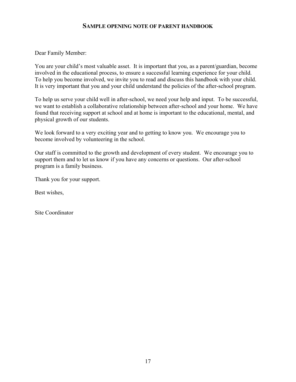#### **SAMPLE OPENING NOTE OF PARENT HANDBOOK**

Dear Family Member:

You are your child's most valuable asset. It is important that you, as a parent/guardian, become involved in the educational process, to ensure a successful learning experience for your child. To help you become involved, we invite you to read and discuss this handbook with your child. It is very important that you and your child understand the policies of the after-school program.

To help us serve your child well in after-school, we need your help and input. To be successful, we want to establish a collaborative relationship between after-school and your home. We have found that receiving support at school and at home is important to the educational, mental, and physical growth of our students.

We look forward to a very exciting year and to getting to know you. We encourage you to become involved by volunteering in the school.

Our staff is committed to the growth and development of every student. We encourage you to support them and to let us know if you have any concerns or questions. Our after-school program is a family business.

Thank you for your support.

Best wishes,

Site Coordinator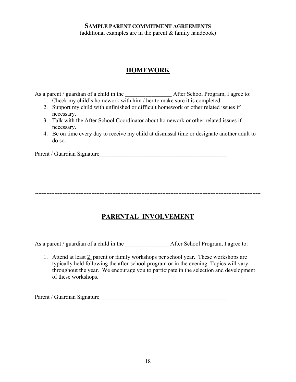#### **SAMPLE PARENT COMMITMENT AGREEMENTS**

(additional examples are in the parent & family handbook)

## **HOMEWORK**

As a parent / guardian of a child in the **\_\_\_\_\_\_\_\_\_\_\_\_\_\_\_\_** After School Program, I agree to:

- 1. Check my child's homework with him  $/$  her to make sure it is completed.
- 2. Support my child with unfinished or difficult homework or other related issues if necessary.
- 3. Talk with the After School Coordinator about homework or other related issues if necessary.
- 4. Be on time every day to receive my child at dismissal time or designate another adult to do so.

Parent / Guardian Signature\_\_\_\_\_\_\_\_\_\_\_\_\_\_\_\_\_\_\_\_\_\_\_\_\_\_\_\_\_\_\_\_\_\_\_\_\_\_\_\_\_\_\_\_

-------------------------------------------------------------------------------------------------------------------------------------------- -

# **PARENTAL INVOLVEMENT**

As a parent / guardian of a child in the **\_\_\_\_\_\_\_\_\_\_\_\_\_** After School Program, I agree to:

1. Attend at least 2 parent or family workshops per school year. These workshops are typically held following the after-school program or in the evening. Topics will vary throughout the year. We encourage you to participate in the selection and development of these workshops.

Parent / Guardian Signature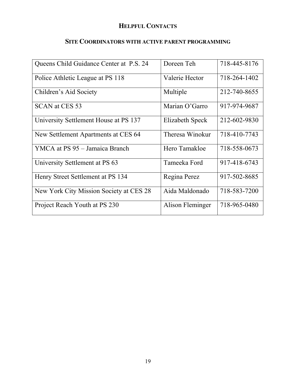# **HELPFUL CONTACTS**

# **SITE COORDINATORS WITH ACTIVE PARENT PROGRAMMING**

| Queens Child Guidance Center at P.S. 24 | Doreen Teh       | 718-445-8176 |
|-----------------------------------------|------------------|--------------|
| Police Athletic League at PS 118        | Valerie Hector   | 718-264-1402 |
| Children's Aid Society                  | Multiple         | 212-740-8655 |
| <b>SCAN at CES 53</b>                   | Marian O'Garro   | 917-974-9687 |
| University Settlement House at PS 137   | Elizabeth Speck  | 212-602-9830 |
| New Settlement Apartments at CES 64     | Theresa Winokur  | 718-410-7743 |
| YMCA at PS 95 - Jamaica Branch          | Hero Tamakloe    | 718-558-0673 |
| University Settlement at PS 63          | Tameeka Ford     | 917-418-6743 |
| Henry Street Settlement at PS 134       | Regina Perez     | 917-502-8685 |
| New York City Mission Society at CES 28 | Aida Maldonado   | 718-583-7200 |
| Project Reach Youth at PS 230           | Alison Fleminger | 718-965-0480 |